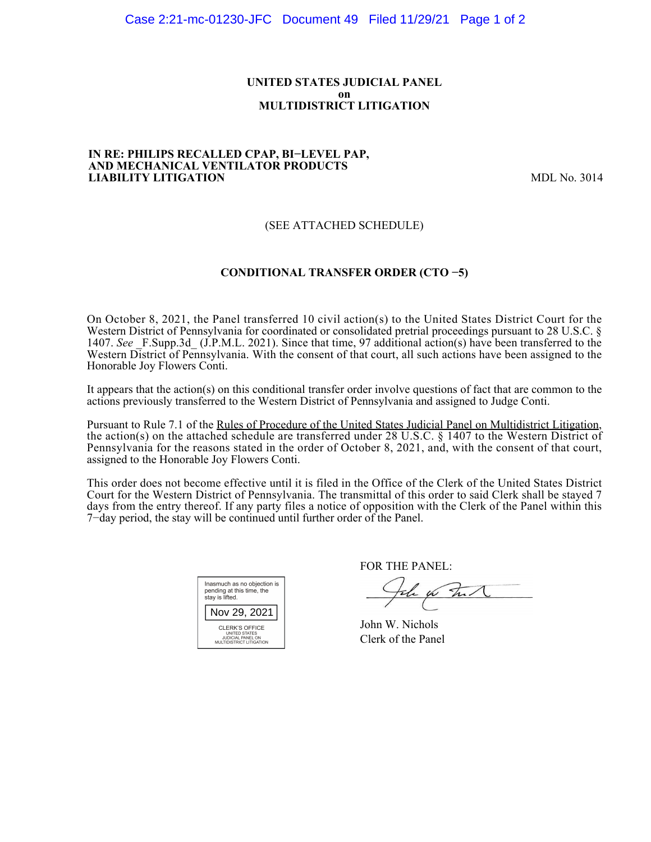### **UNITED STATES JUDICIAL PANEL on MULTIDISTRICT LITIGATION**

#### **IN RE: PHILIPS RECALLED CPAP, BI−LEVEL PAP, AND MECHANICAL VENTILATOR PRODUCTS LIABILITY LITIGATION** MDL No. 3014

# (SEE ATTACHED SCHEDULE)

# **CONDITIONAL TRANSFER ORDER (CTO −5)**

On October 8, 2021, the Panel transferred 10 civil action(s) to the United States District Court for the Western District of Pennsylvania for coordinated or consolidated pretrial proceedings pursuant to 28 U.S.C. § 1407. *See* \_F.Supp.3d\_ (J.P.M.L. 2021). Since that time, 97 additional action(s) have been transferred to the Western District of Pennsylvania. With the consent of that court, all such actions have been assigned to the Honorable Joy Flowers Conti.

It appears that the action(s) on this conditional transfer order involve questions of fact that are common to the actions previously transferred to the Western District of Pennsylvania and assigned to Judge Conti.

Pursuant to Rule 7.1 of the Rules of Procedure of the United States Judicial Panel on Multidistrict Litigation, the action(s) on the attached schedule are transferred under 28 U.S.C. § 1407 to the Western District of Pennsylvania for the reasons stated in the order of October 8, 2021, and, with the consent of that court, assigned to the Honorable Joy Flowers Conti.

This order does not become effective until it is filed in the Office of the Clerk of the United States District Court for the Western District of Pennsylvania. The transmittal of this order to said Clerk shall be stayed 7 days from the entry thereof. If any party files a notice of opposition with the Clerk of the Panel within this 7−day period, the stay will be continued until further order of the Panel.

| Inasmuch as no objection is<br>pending at this time, the<br>stay is lifted.             |  |  |  |  |
|-----------------------------------------------------------------------------------------|--|--|--|--|
| Nov 29, 2021                                                                            |  |  |  |  |
| <b>CLERK'S OFFICE</b><br>UNITED STATES<br>JUDICIAL PANEL ON<br>MULTIDISTRICT LITIGATION |  |  |  |  |

FOR THE PANEL:

John for Full

John W. Nichols Clerk of the Panel